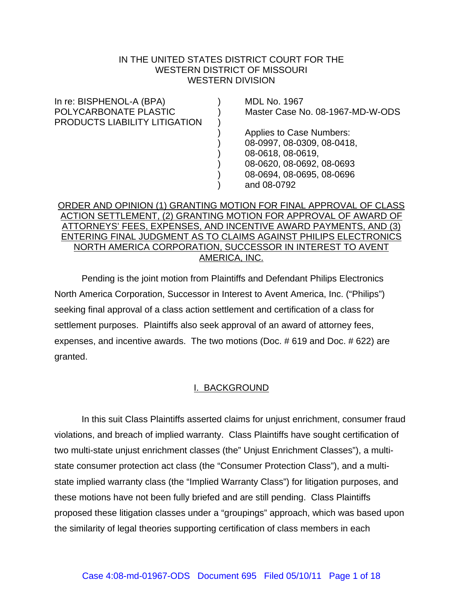### IN THE UNITED STATES DISTRICT COURT FOR THE WESTERN DISTRICT OF MISSOURI WESTERN DIVISION

| In re: BISPHENOL-A (BPA)                               | <b>MDL No. 1967</b>              |
|--------------------------------------------------------|----------------------------------|
| POLYCARBONATE PLASTIC<br>PRODUCTS LIABILITY LITIGATION | Master Case No. 08-1967-MD-W-ODS |
|                                                        | <b>Applies to Case Numbers:</b>  |
|                                                        | 08-0997, 08-0309, 08-0418,       |
|                                                        | 08-0618, 08-0619,                |
|                                                        | 08-0620, 08-0692, 08-0693        |
|                                                        | 08-0694, 08-0695, 08-0696        |
|                                                        | and 08-0792                      |
|                                                        |                                  |

## ORDER AND OPINION (1) GRANTING MOTION FOR FINAL APPROVAL OF CLASS ACTION SETTLEMENT, (2) GRANTING MOTION FOR APPROVAL OF AWARD OF ATTORNEYS' FEES, EXPENSES, AND INCENTIVE AWARD PAYMENTS, AND (3) ENTERING FINAL JUDGMENT AS TO CLAIMS AGAINST PHILIPS ELECTRONICS NORTH AMERICA CORPORATION, SUCCESSOR IN INTEREST TO AVENT AMERICA, INC.

Pending is the joint motion from Plaintiffs and Defendant Philips Electronics North America Corporation, Successor in Interest to Avent America, Inc. ("Philips") seeking final approval of a class action settlement and certification of a class for settlement purposes. Plaintiffs also seek approval of an award of attorney fees, expenses, and incentive awards. The two motions (Doc. # 619 and Doc. # 622) are granted.

## I. BACKGROUND

In this suit Class Plaintiffs asserted claims for unjust enrichment, consumer fraud violations, and breach of implied warranty. Class Plaintiffs have sought certification of two multi-state unjust enrichment classes (the" Unjust Enrichment Classes"), a multistate consumer protection act class (the "Consumer Protection Class"), and a multistate implied warranty class (the "Implied Warranty Class") for litigation purposes, and these motions have not been fully briefed and are still pending. Class Plaintiffs proposed these litigation classes under a "groupings" approach, which was based upon the similarity of legal theories supporting certification of class members in each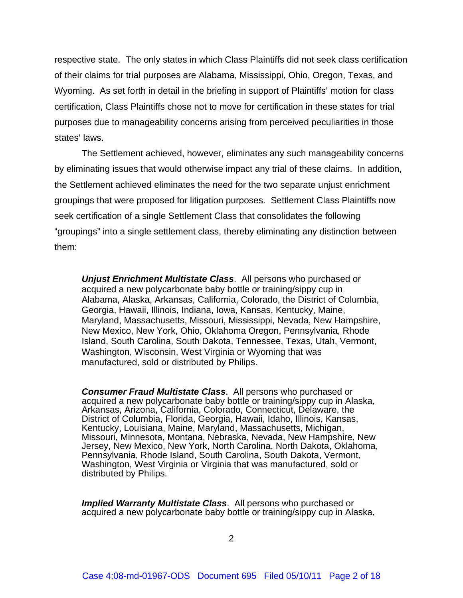respective state. The only states in which Class Plaintiffs did not seek class certification of their claims for trial purposes are Alabama, Mississippi, Ohio, Oregon, Texas, and Wyoming. As set forth in detail in the briefing in support of Plaintiffs' motion for class certification, Class Plaintiffs chose not to move for certification in these states for trial purposes due to manageability concerns arising from perceived peculiarities in those states' laws.

The Settlement achieved, however, eliminates any such manageability concerns by eliminating issues that would otherwise impact any trial of these claims. In addition, the Settlement achieved eliminates the need for the two separate unjust enrichment groupings that were proposed for litigation purposes. Settlement Class Plaintiffs now seek certification of a single Settlement Class that consolidates the following "groupings" into a single settlement class, thereby eliminating any distinction between them:

*Unjust Enrichment Multistate Class*. All persons who purchased or acquired a new polycarbonate baby bottle or training/sippy cup in Alabama, Alaska, Arkansas, California, Colorado, the District of Columbia, Georgia, Hawaii, Illinois, Indiana, Iowa, Kansas, Kentucky, Maine, Maryland, Massachusetts, Missouri, Mississippi, Nevada, New Hampshire, New Mexico, New York, Ohio, Oklahoma Oregon, Pennsylvania, Rhode Island, South Carolina, South Dakota, Tennessee, Texas, Utah, Vermont, Washington, Wisconsin, West Virginia or Wyoming that was manufactured, sold or distributed by Philips.

*Consumer Fraud Multistate Class*. All persons who purchased or acquired a new polycarbonate baby bottle or training/sippy cup in Alaska, Arkansas, Arizona, California, Colorado, Connecticut, Delaware, the District of Columbia, Florida, Georgia, Hawaii, Idaho, Illinois, Kansas, Kentucky, Louisiana, Maine, Maryland, Massachusetts, Michigan, Missouri, Minnesota, Montana, Nebraska, Nevada, New Hampshire, New Jersey, New Mexico, New York, North Carolina, North Dakota, Oklahoma, Pennsylvania, Rhode Island, South Carolina, South Dakota, Vermont, Washington, West Virginia or Virginia that was manufactured, sold or distributed by Philips.

*Implied Warranty Multistate Class*. All persons who purchased or acquired a new polycarbonate baby bottle or training/sippy cup in Alaska,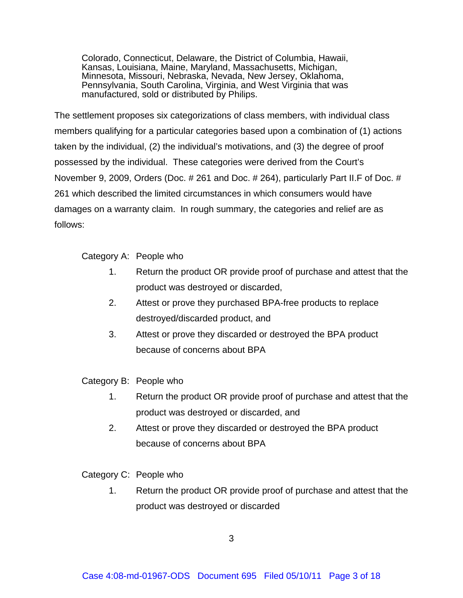Colorado, Connecticut, Delaware, the District of Columbia, Hawaii, Kansas, Louisiana, Maine, Maryland, Massachusetts, Michigan, Minnesota, Missouri, Nebraska, Nevada, New Jersey, Oklahoma, Pennsylvania, South Carolina, Virginia, and West Virginia that was manufactured, sold or distributed by Philips.

The settlement proposes six categorizations of class members, with individual class members qualifying for a particular categories based upon a combination of (1) actions taken by the individual, (2) the individual's motivations, and (3) the degree of proof possessed by the individual. These categories were derived from the Court's November 9, 2009, Orders (Doc. # 261 and Doc. # 264), particularly Part II.F of Doc. # 261 which described the limited circumstances in which consumers would have damages on a warranty claim. In rough summary, the categories and relief are as follows:

Category A: People who

- 1. Return the product OR provide proof of purchase and attest that the product was destroyed or discarded,
- 2. Attest or prove they purchased BPA-free products to replace destroyed/discarded product, and
- 3. Attest or prove they discarded or destroyed the BPA product because of concerns about BPA

Category B: People who

- 1. Return the product OR provide proof of purchase and attest that the product was destroyed or discarded, and
- 2. Attest or prove they discarded or destroyed the BPA product because of concerns about BPA

Category C: People who

1. Return the product OR provide proof of purchase and attest that the product was destroyed or discarded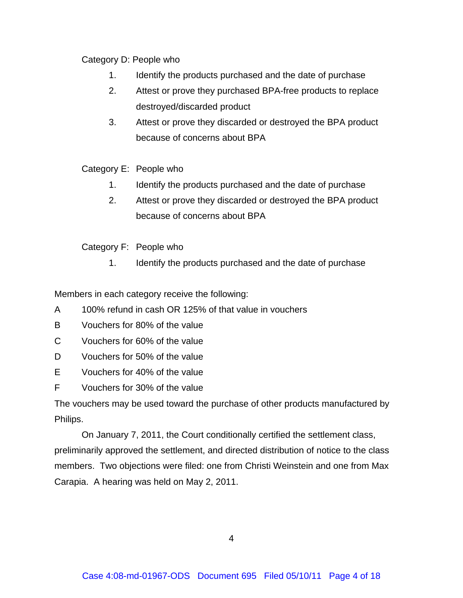# Category D: People who

- 1. Identify the products purchased and the date of purchase
- 2. Attest or prove they purchased BPA-free products to replace destroyed/discarded product
- 3. Attest or prove they discarded or destroyed the BPA product because of concerns about BPA

# Category E: People who

- 1. Identify the products purchased and the date of purchase
- 2. Attest or prove they discarded or destroyed the BPA product because of concerns about BPA

Category F: People who

1. Identify the products purchased and the date of purchase

Members in each category receive the following:

- A 100% refund in cash OR 125% of that value in vouchers
- B Vouchers for 80% of the value
- C Vouchers for 60% of the value
- D Vouchers for 50% of the value
- E Vouchers for 40% of the value
- F Vouchers for 30% of the value

The vouchers may be used toward the purchase of other products manufactured by Philips.

On January 7, 2011, the Court conditionally certified the settlement class, preliminarily approved the settlement, and directed distribution of notice to the class members. Two objections were filed: one from Christi Weinstein and one from Max Carapia. A hearing was held on May 2, 2011.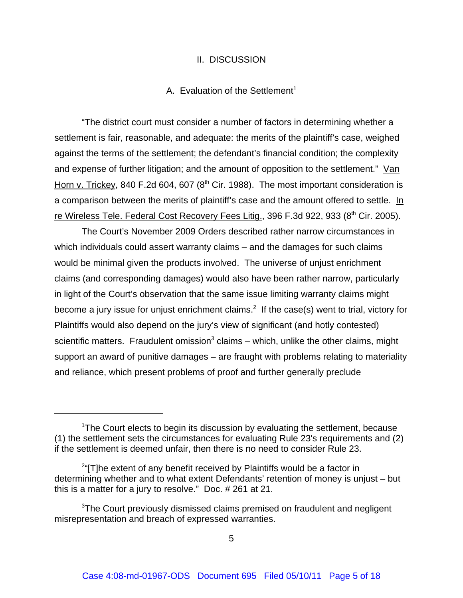#### II. DISCUSSION

#### A. Evaluation of the Settlement<sup>1</sup>

"The district court must consider a number of factors in determining whether a settlement is fair, reasonable, and adequate: the merits of the plaintiff's case, weighed against the terms of the settlement; the defendant's financial condition; the complexity and expense of further litigation; and the amount of opposition to the settlement." Van Horn v. Trickey, 840 F.2d 604, 607 ( $8<sup>th</sup>$  Cir. 1988). The most important consideration is a comparison between the merits of plaintiff's case and the amount offered to settle. In re Wireless Tele. Federal Cost Recovery Fees Litig., 396 F.3d 922, 933 (8<sup>th</sup> Cir. 2005).

The Court's November 2009 Orders described rather narrow circumstances in which individuals could assert warranty claims – and the damages for such claims would be minimal given the products involved. The universe of unjust enrichment claims (and corresponding damages) would also have been rather narrow, particularly in light of the Court's observation that the same issue limiting warranty claims might become a jury issue for unjust enrichment claims.<sup>2</sup> If the case(s) went to trial, victory for Plaintiffs would also depend on the jury's view of significant (and hotly contested) scientific matters. Fraudulent omission<sup>3</sup> claims – which, unlike the other claims, might support an award of punitive damages – are fraught with problems relating to materiality and reliance, which present problems of proof and further generally preclude

<sup>&</sup>lt;sup>1</sup>The Court elects to begin its discussion by evaluating the settlement, because (1) the settlement sets the circumstances for evaluating Rule 23's requirements and (2) if the settlement is deemed unfair, then there is no need to consider Rule 23.

 $2^{\alpha}$ [T]he extent of any benefit received by Plaintiffs would be a factor in determining whether and to what extent Defendants' retention of money is unjust – but this is a matter for a jury to resolve." Doc. # 261 at 21.

<sup>&</sup>lt;sup>3</sup>The Court previously dismissed claims premised on fraudulent and negligent misrepresentation and breach of expressed warranties.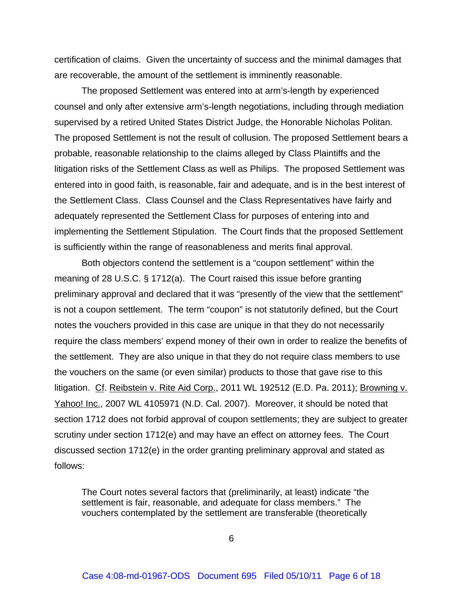certification of claims. Given the uncertainty of success and the minimal damages that are recoverable, the amount of the settlement is imminently reasonable.

The proposed Settlement was entered into at arm's-length by experienced counsel and only after extensive arm's-length negotiations, including through mediation supervised by a retired United States District Judge, the Honorable Nicholas Politan. The proposed Settlement is not the result of collusion. The proposed Settlement bears a probable, reasonable relationship to the claims alleged by Class Plaintiffs and the litigation risks of the Settlement Class as well as Philips. The proposed Settlement was entered into in good faith, is reasonable, fair and adequate, and is in the best interest of the Settlement Class. Class Counsel and the Class Representatives have fairly and adequately represented the Settlement Class for purposes of entering into and implementing the Settlement Stipulation. The Court finds that the proposed Settlement is sufficiently within the range of reasonableness and merits final approval.

Both objectors contend the settlement is a "coupon settlement" within the meaning of 28 U.S.C. § 1712(a). The Court raised this issue before granting preliminary approval and declared that it was "presently of the view that the settlement" is not a coupon settlement. The term "coupon" is not statutorily defined, but the Court notes the vouchers provided in this case are unique in that they do not necessarily require the class members' expend money of their own in order to realize the benefits of the settlement. They are also unique in that they do not require class members to use the vouchers on the same (or even similar) products to those that gave rise to this litigation. Cf. Reibstein v. Rite Aid Corp., 2011 WL 192512 (E.D. Pa. 2011); Browning v. Yahoo! Inc., 2007 WL 4105971 (N.D. Cal. 2007). Moreover, it should be noted that section 1712 does not forbid approval of coupon settlements; they are subject to greater scrutiny under section 1712(e) and may have an effect on attorney fees. The Court discussed section 1712(e) in the order granting preliminary approval and stated as follows:

The Court notes several factors that (preliminarily, at least) indicate "the settlement is fair, reasonable, and adequate for class members." The vouchers contemplated by the settlement are transferable (theoretically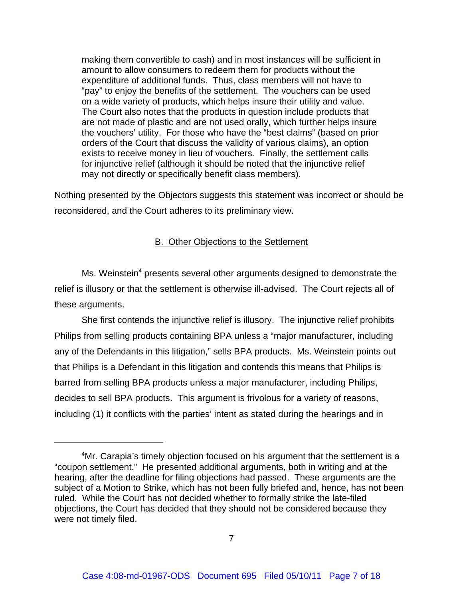making them convertible to cash) and in most instances will be sufficient in amount to allow consumers to redeem them for products without the expenditure of additional funds. Thus, class members will not have to "pay" to enjoy the benefits of the settlement. The vouchers can be used on a wide variety of products, which helps insure their utility and value. The Court also notes that the products in question include products that are not made of plastic and are not used orally, which further helps insure the vouchers' utility. For those who have the "best claims" (based on prior orders of the Court that discuss the validity of various claims), an option exists to receive money in lieu of vouchers. Finally, the settlement calls for injunctive relief (although it should be noted that the injunctive relief may not directly or specifically benefit class members).

Nothing presented by the Objectors suggests this statement was incorrect or should be reconsidered, and the Court adheres to its preliminary view.

### B. Other Objections to the Settlement

Ms. Weinstein<sup>4</sup> presents several other arguments designed to demonstrate the relief is illusory or that the settlement is otherwise ill-advised. The Court rejects all of these arguments.

She first contends the injunctive relief is illusory. The injunctive relief prohibits Philips from selling products containing BPA unless a "major manufacturer, including any of the Defendants in this litigation," sells BPA products. Ms. Weinstein points out that Philips is a Defendant in this litigation and contends this means that Philips is barred from selling BPA products unless a major manufacturer, including Philips, decides to sell BPA products. This argument is frivolous for a variety of reasons, including (1) it conflicts with the parties' intent as stated during the hearings and in

<sup>&</sup>lt;sup>4</sup>Mr. Carapia's timely objection focused on his argument that the settlement is a "coupon settlement." He presented additional arguments, both in writing and at the hearing, after the deadline for filing objections had passed. These arguments are the subject of a Motion to Strike, which has not been fully briefed and, hence, has not been ruled. While the Court has not decided whether to formally strike the late-filed objections, the Court has decided that they should not be considered because they were not timely filed.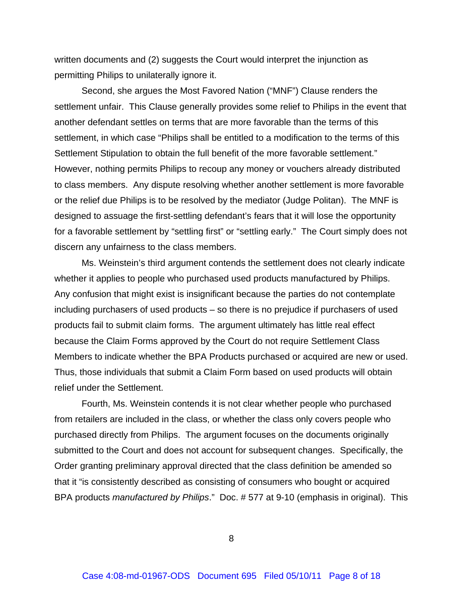written documents and (2) suggests the Court would interpret the injunction as permitting Philips to unilaterally ignore it.

Second, she argues the Most Favored Nation ("MNF") Clause renders the settlement unfair. This Clause generally provides some relief to Philips in the event that another defendant settles on terms that are more favorable than the terms of this settlement, in which case "Philips shall be entitled to a modification to the terms of this Settlement Stipulation to obtain the full benefit of the more favorable settlement." However, nothing permits Philips to recoup any money or vouchers already distributed to class members. Any dispute resolving whether another settlement is more favorable or the relief due Philips is to be resolved by the mediator (Judge Politan). The MNF is designed to assuage the first-settling defendant's fears that it will lose the opportunity for a favorable settlement by "settling first" or "settling early." The Court simply does not discern any unfairness to the class members.

Ms. Weinstein's third argument contends the settlement does not clearly indicate whether it applies to people who purchased used products manufactured by Philips. Any confusion that might exist is insignificant because the parties do not contemplate including purchasers of used products – so there is no prejudice if purchasers of used products fail to submit claim forms. The argument ultimately has little real effect because the Claim Forms approved by the Court do not require Settlement Class Members to indicate whether the BPA Products purchased or acquired are new or used. Thus, those individuals that submit a Claim Form based on used products will obtain relief under the Settlement.

Fourth, Ms. Weinstein contends it is not clear whether people who purchased from retailers are included in the class, or whether the class only covers people who purchased directly from Philips. The argument focuses on the documents originally submitted to the Court and does not account for subsequent changes. Specifically, the Order granting preliminary approval directed that the class definition be amended so that it "is consistently described as consisting of consumers who bought or acquired BPA products *manufactured by Philips*." Doc. # 577 at 9-10 (emphasis in original). This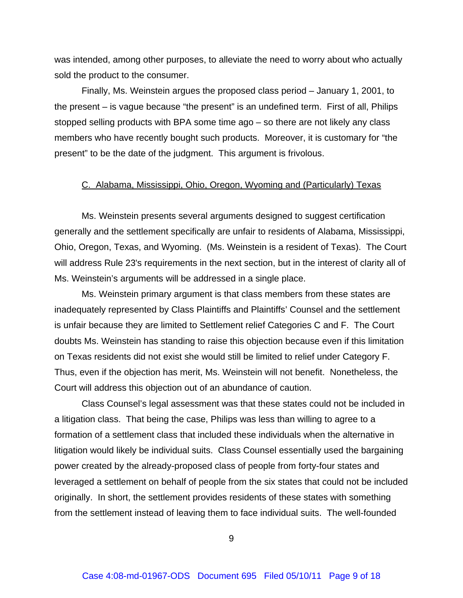was intended, among other purposes, to alleviate the need to worry about who actually sold the product to the consumer.

Finally, Ms. Weinstein argues the proposed class period – January 1, 2001, to the present – is vague because "the present" is an undefined term. First of all, Philips stopped selling products with BPA some time ago – so there are not likely any class members who have recently bought such products. Moreover, it is customary for "the present" to be the date of the judgment. This argument is frivolous.

#### C. Alabama, Mississippi, Ohio, Oregon, Wyoming and (Particularly) Texas

Ms. Weinstein presents several arguments designed to suggest certification generally and the settlement specifically are unfair to residents of Alabama, Mississippi, Ohio, Oregon, Texas, and Wyoming. (Ms. Weinstein is a resident of Texas). The Court will address Rule 23's requirements in the next section, but in the interest of clarity all of Ms. Weinstein's arguments will be addressed in a single place.

Ms. Weinstein primary argument is that class members from these states are inadequately represented by Class Plaintiffs and Plaintiffs' Counsel and the settlement is unfair because they are limited to Settlement relief Categories C and F. The Court doubts Ms. Weinstein has standing to raise this objection because even if this limitation on Texas residents did not exist she would still be limited to relief under Category F. Thus, even if the objection has merit, Ms. Weinstein will not benefit. Nonetheless, the Court will address this objection out of an abundance of caution.

Class Counsel's legal assessment was that these states could not be included in a litigation class. That being the case, Philips was less than willing to agree to a formation of a settlement class that included these individuals when the alternative in litigation would likely be individual suits. Class Counsel essentially used the bargaining power created by the already-proposed class of people from forty-four states and leveraged a settlement on behalf of people from the six states that could not be included originally. In short, the settlement provides residents of these states with something from the settlement instead of leaving them to face individual suits. The well-founded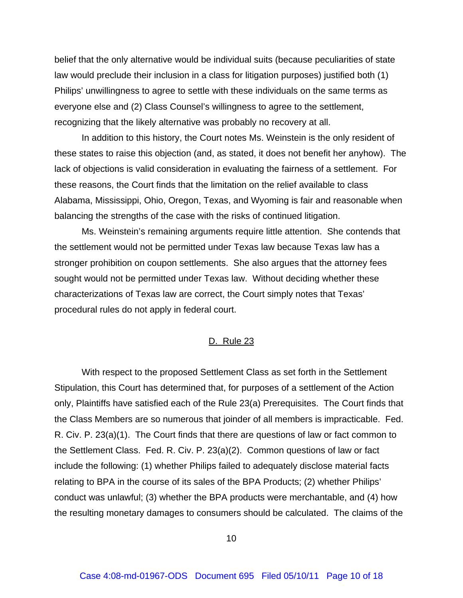belief that the only alternative would be individual suits (because peculiarities of state law would preclude their inclusion in a class for litigation purposes) justified both (1) Philips' unwillingness to agree to settle with these individuals on the same terms as everyone else and (2) Class Counsel's willingness to agree to the settlement, recognizing that the likely alternative was probably no recovery at all.

In addition to this history, the Court notes Ms. Weinstein is the only resident of these states to raise this objection (and, as stated, it does not benefit her anyhow). The lack of objections is valid consideration in evaluating the fairness of a settlement. For these reasons, the Court finds that the limitation on the relief available to class Alabama, Mississippi, Ohio, Oregon, Texas, and Wyoming is fair and reasonable when balancing the strengths of the case with the risks of continued litigation.

Ms. Weinstein's remaining arguments require little attention. She contends that the settlement would not be permitted under Texas law because Texas law has a stronger prohibition on coupon settlements. She also argues that the attorney fees sought would not be permitted under Texas law. Without deciding whether these characterizations of Texas law are correct, the Court simply notes that Texas' procedural rules do not apply in federal court.

#### D. Rule 23

With respect to the proposed Settlement Class as set forth in the Settlement Stipulation, this Court has determined that, for purposes of a settlement of the Action only, Plaintiffs have satisfied each of the Rule 23(a) Prerequisites. The Court finds that the Class Members are so numerous that joinder of all members is impracticable. Fed. R. Civ. P. 23(a)(1). The Court finds that there are questions of law or fact common to the Settlement Class. Fed. R. Civ. P. 23(a)(2). Common questions of law or fact include the following: (1) whether Philips failed to adequately disclose material facts relating to BPA in the course of its sales of the BPA Products; (2) whether Philips' conduct was unlawful; (3) whether the BPA products were merchantable, and (4) how the resulting monetary damages to consumers should be calculated. The claims of the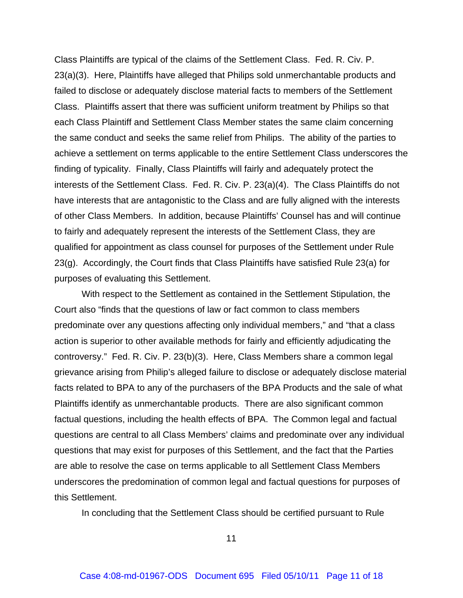Class Plaintiffs are typical of the claims of the Settlement Class. Fed. R. Civ. P. 23(a)(3). Here, Plaintiffs have alleged that Philips sold unmerchantable products and failed to disclose or adequately disclose material facts to members of the Settlement Class. Plaintiffs assert that there was sufficient uniform treatment by Philips so that each Class Plaintiff and Settlement Class Member states the same claim concerning the same conduct and seeks the same relief from Philips. The ability of the parties to achieve a settlement on terms applicable to the entire Settlement Class underscores the finding of typicality. Finally, Class Plaintiffs will fairly and adequately protect the interests of the Settlement Class. Fed. R. Civ. P. 23(a)(4). The Class Plaintiffs do not have interests that are antagonistic to the Class and are fully aligned with the interests of other Class Members. In addition, because Plaintiffs' Counsel has and will continue to fairly and adequately represent the interests of the Settlement Class, they are qualified for appointment as class counsel for purposes of the Settlement under Rule 23(g). Accordingly, the Court finds that Class Plaintiffs have satisfied Rule 23(a) for purposes of evaluating this Settlement.

With respect to the Settlement as contained in the Settlement Stipulation, the Court also "finds that the questions of law or fact common to class members predominate over any questions affecting only individual members," and "that a class action is superior to other available methods for fairly and efficiently adjudicating the controversy." Fed. R. Civ. P. 23(b)(3). Here, Class Members share a common legal grievance arising from Philip's alleged failure to disclose or adequately disclose material facts related to BPA to any of the purchasers of the BPA Products and the sale of what Plaintiffs identify as unmerchantable products. There are also significant common factual questions, including the health effects of BPA. The Common legal and factual questions are central to all Class Members' claims and predominate over any individual questions that may exist for purposes of this Settlement, and the fact that the Parties are able to resolve the case on terms applicable to all Settlement Class Members underscores the predomination of common legal and factual questions for purposes of this Settlement.

In concluding that the Settlement Class should be certified pursuant to Rule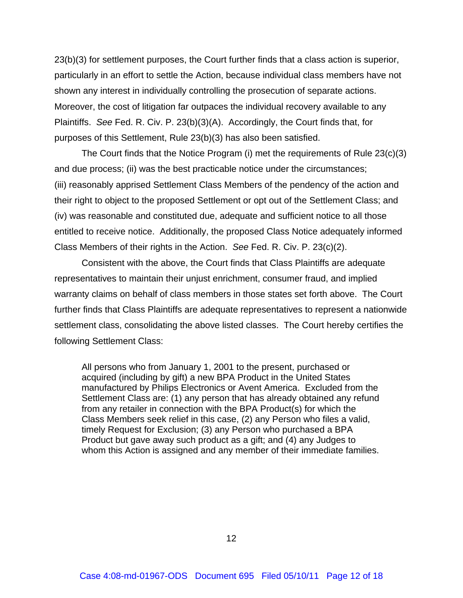23(b)(3) for settlement purposes, the Court further finds that a class action is superior, particularly in an effort to settle the Action, because individual class members have not shown any interest in individually controlling the prosecution of separate actions. Moreover, the cost of litigation far outpaces the individual recovery available to any Plaintiffs. *See* Fed. R. Civ. P. 23(b)(3)(A). Accordingly, the Court finds that, for purposes of this Settlement, Rule 23(b)(3) has also been satisfied.

The Court finds that the Notice Program (i) met the requirements of Rule 23(c)(3) and due process; (ii) was the best practicable notice under the circumstances; (iii) reasonably apprised Settlement Class Members of the pendency of the action and their right to object to the proposed Settlement or opt out of the Settlement Class; and (iv) was reasonable and constituted due, adequate and sufficient notice to all those entitled to receive notice. Additionally, the proposed Class Notice adequately informed Class Members of their rights in the Action. *See* Fed. R. Civ. P. 23(c)(2).

Consistent with the above, the Court finds that Class Plaintiffs are adequate representatives to maintain their unjust enrichment, consumer fraud, and implied warranty claims on behalf of class members in those states set forth above. The Court further finds that Class Plaintiffs are adequate representatives to represent a nationwide settlement class, consolidating the above listed classes. The Court hereby certifies the following Settlement Class:

All persons who from January 1, 2001 to the present, purchased or acquired (including by gift) a new BPA Product in the United States manufactured by Philips Electronics or Avent America. Excluded from the Settlement Class are: (1) any person that has already obtained any refund from any retailer in connection with the BPA Product(s) for which the Class Members seek relief in this case, (2) any Person who files a valid, timely Request for Exclusion; (3) any Person who purchased a BPA Product but gave away such product as a gift; and (4) any Judges to whom this Action is assigned and any member of their immediate families.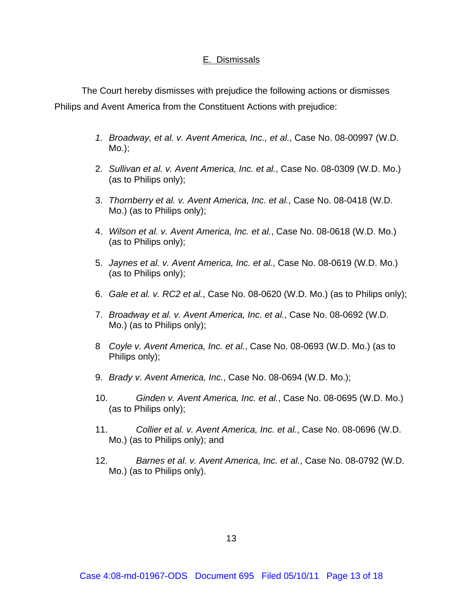### E. Dismissals

The Court hereby dismisses with prejudice the following actions or dismisses Philips and Avent America from the Constituent Actions with prejudice:

- *1. Broadway, et al. v. Avent America, Inc., et al.*, Case No. 08-00997 (W.D. Mo.);
- 2. *Sullivan et al. v. Avent America, Inc. et al.*, Case No. 08-0309 (W.D. Mo.) (as to Philips only);
- 3. *Thornberry et al. v. Avent America, Inc. et al.*, Case No. 08-0418 (W.D. Mo.) (as to Philips only);
- 4. *Wilson et al. v. Avent America, Inc. et al.*, Case No. 08-0618 (W.D. Mo.) (as to Philips only);
- 5. *Jaynes et al. v. Avent America, Inc. et al.*, Case No. 08-0619 (W.D. Mo.) (as to Philips only);
- 6. *Gale et al. v. RC2 et al.*, Case No. 08-0620 (W.D. Mo.) (as to Philips only);
- 7. *Broadway et al. v. Avent America, Inc. et al.*, Case No. 08-0692 (W.D. Mo.) (as to Philips only);
- 8 *Coyle v. Avent America, Inc. et al.*, Case No. 08-0693 (W.D. Mo.) (as to Philips only);
- 9. *Brady v. Avent America, Inc.*, Case No. 08-0694 (W.D. Mo.);
- 10. *Ginden v. Avent America, Inc. et al.*, Case No. 08-0695 (W.D. Mo.) (as to Philips only);
- 11. *Collier et al. v. Avent America, Inc. et al.*, Case No. 08-0696 (W.D. Mo.) (as to Philips only); and
- 12. *Barnes et al. v. Avent America, Inc. et al.*, Case No. 08-0792 (W.D. Mo.) (as to Philips only).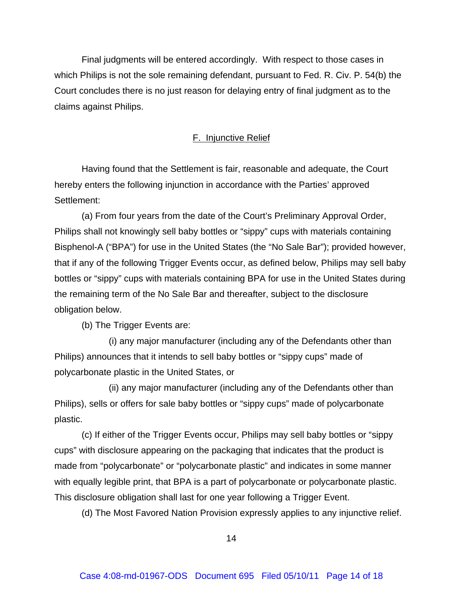Final judgments will be entered accordingly. With respect to those cases in which Philips is not the sole remaining defendant, pursuant to Fed. R. Civ. P. 54(b) the Court concludes there is no just reason for delaying entry of final judgment as to the claims against Philips.

### F. Injunctive Relief

Having found that the Settlement is fair, reasonable and adequate, the Court hereby enters the following injunction in accordance with the Parties' approved Settlement:

(a) From four years from the date of the Court's Preliminary Approval Order, Philips shall not knowingly sell baby bottles or "sippy" cups with materials containing Bisphenol-A ("BPA") for use in the United States (the "No Sale Bar"); provided however, that if any of the following Trigger Events occur, as defined below, Philips may sell baby bottles or "sippy" cups with materials containing BPA for use in the United States during the remaining term of the No Sale Bar and thereafter, subject to the disclosure obligation below.

(b) The Trigger Events are:

(i) any major manufacturer (including any of the Defendants other than Philips) announces that it intends to sell baby bottles or "sippy cups" made of polycarbonate plastic in the United States, or

(ii) any major manufacturer (including any of the Defendants other than Philips), sells or offers for sale baby bottles or "sippy cups" made of polycarbonate plastic.

(c) If either of the Trigger Events occur, Philips may sell baby bottles or "sippy cups" with disclosure appearing on the packaging that indicates that the product is made from "polycarbonate" or "polycarbonate plastic" and indicates in some manner with equally legible print, that BPA is a part of polycarbonate or polycarbonate plastic. This disclosure obligation shall last for one year following a Trigger Event.

(d) The Most Favored Nation Provision expressly applies to any injunctive relief.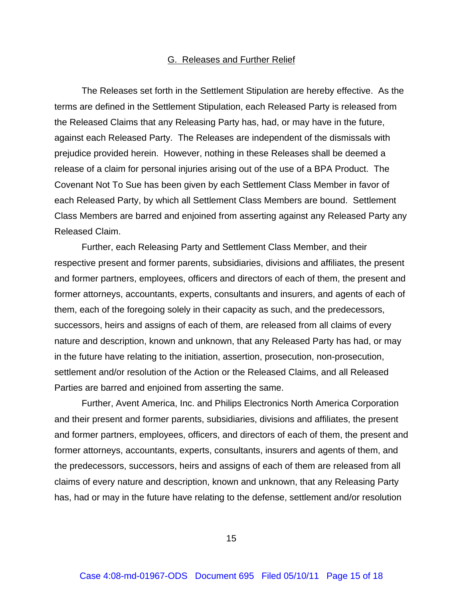#### G. Releases and Further Relief

The Releases set forth in the Settlement Stipulation are hereby effective. As the terms are defined in the Settlement Stipulation, each Released Party is released from the Released Claims that any Releasing Party has, had, or may have in the future, against each Released Party. The Releases are independent of the dismissals with prejudice provided herein. However, nothing in these Releases shall be deemed a release of a claim for personal injuries arising out of the use of a BPA Product. The Covenant Not To Sue has been given by each Settlement Class Member in favor of each Released Party, by which all Settlement Class Members are bound. Settlement Class Members are barred and enjoined from asserting against any Released Party any Released Claim.

Further, each Releasing Party and Settlement Class Member, and their respective present and former parents, subsidiaries, divisions and affiliates, the present and former partners, employees, officers and directors of each of them, the present and former attorneys, accountants, experts, consultants and insurers, and agents of each of them, each of the foregoing solely in their capacity as such, and the predecessors, successors, heirs and assigns of each of them, are released from all claims of every nature and description, known and unknown, that any Released Party has had, or may in the future have relating to the initiation, assertion, prosecution, non-prosecution, settlement and/or resolution of the Action or the Released Claims, and all Released Parties are barred and enjoined from asserting the same.

Further, Avent America, Inc. and Philips Electronics North America Corporation and their present and former parents, subsidiaries, divisions and affiliates, the present and former partners, employees, officers, and directors of each of them, the present and former attorneys, accountants, experts, consultants, insurers and agents of them, and the predecessors, successors, heirs and assigns of each of them are released from all claims of every nature and description, known and unknown, that any Releasing Party has, had or may in the future have relating to the defense, settlement and/or resolution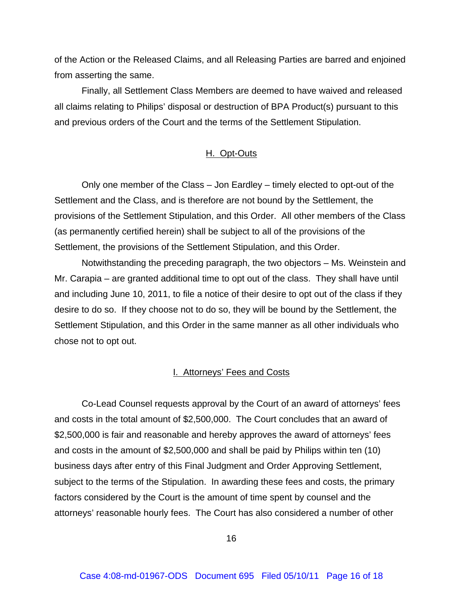of the Action or the Released Claims, and all Releasing Parties are barred and enjoined from asserting the same.

Finally, all Settlement Class Members are deemed to have waived and released all claims relating to Philips' disposal or destruction of BPA Product(s) pursuant to this and previous orders of the Court and the terms of the Settlement Stipulation.

### H. Opt-Outs

Only one member of the Class – Jon Eardley – timely elected to opt-out of the Settlement and the Class, and is therefore are not bound by the Settlement, the provisions of the Settlement Stipulation, and this Order. All other members of the Class (as permanently certified herein) shall be subject to all of the provisions of the Settlement, the provisions of the Settlement Stipulation, and this Order.

Notwithstanding the preceding paragraph, the two objectors – Ms. Weinstein and Mr. Carapia – are granted additional time to opt out of the class. They shall have until and including June 10, 2011, to file a notice of their desire to opt out of the class if they desire to do so. If they choose not to do so, they will be bound by the Settlement, the Settlement Stipulation, and this Order in the same manner as all other individuals who chose not to opt out.

### I. Attorneys' Fees and Costs

Co-Lead Counsel requests approval by the Court of an award of attorneys' fees and costs in the total amount of \$2,500,000. The Court concludes that an award of \$2,500,000 is fair and reasonable and hereby approves the award of attorneys' fees and costs in the amount of \$2,500,000 and shall be paid by Philips within ten (10) business days after entry of this Final Judgment and Order Approving Settlement, subject to the terms of the Stipulation. In awarding these fees and costs, the primary factors considered by the Court is the amount of time spent by counsel and the attorneys' reasonable hourly fees. The Court has also considered a number of other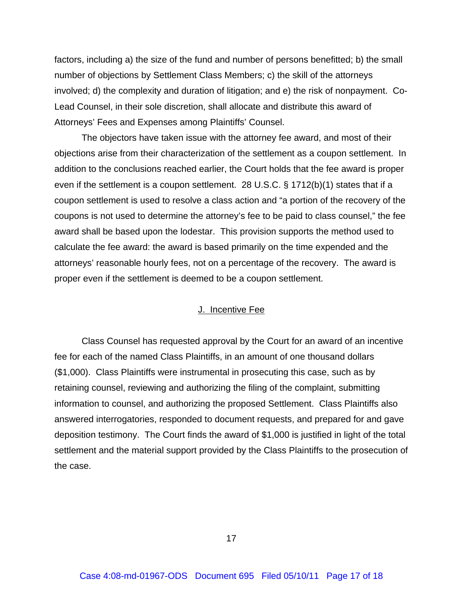factors, including a) the size of the fund and number of persons benefitted; b) the small number of objections by Settlement Class Members; c) the skill of the attorneys involved; d) the complexity and duration of litigation; and e) the risk of nonpayment. Co-Lead Counsel, in their sole discretion, shall allocate and distribute this award of Attorneys' Fees and Expenses among Plaintiffs' Counsel.

The objectors have taken issue with the attorney fee award, and most of their objections arise from their characterization of the settlement as a coupon settlement. In addition to the conclusions reached earlier, the Court holds that the fee award is proper even if the settlement is a coupon settlement. 28 U.S.C. § 1712(b)(1) states that if a coupon settlement is used to resolve a class action and "a portion of the recovery of the coupons is not used to determine the attorney's fee to be paid to class counsel," the fee award shall be based upon the lodestar. This provision supports the method used to calculate the fee award: the award is based primarily on the time expended and the attorneys' reasonable hourly fees, not on a percentage of the recovery. The award is proper even if the settlement is deemed to be a coupon settlement.

### J. Incentive Fee

Class Counsel has requested approval by the Court for an award of an incentive fee for each of the named Class Plaintiffs, in an amount of one thousand dollars (\$1,000). Class Plaintiffs were instrumental in prosecuting this case, such as by retaining counsel, reviewing and authorizing the filing of the complaint, submitting information to counsel, and authorizing the proposed Settlement. Class Plaintiffs also answered interrogatories, responded to document requests, and prepared for and gave deposition testimony. The Court finds the award of \$1,000 is justified in light of the total settlement and the material support provided by the Class Plaintiffs to the prosecution of the case.